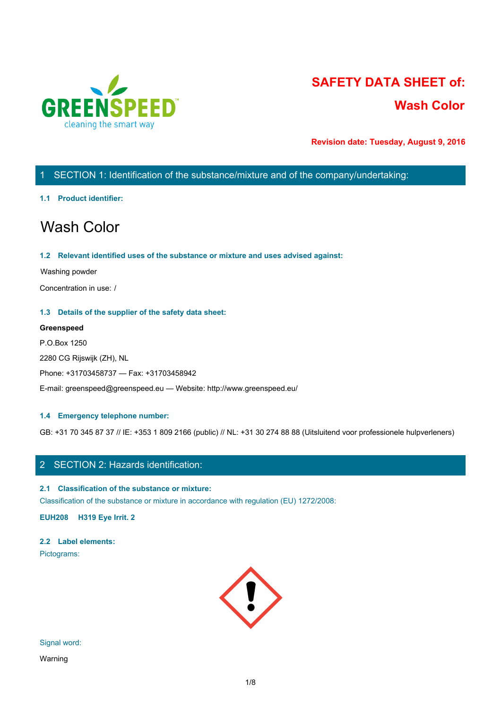

# **SAFETY DATA SHEET of: Wash Color**

**Revision date: Tuesday, August 9, 2016**

# 1 SECTION 1: Identification of the substance/mixture and of the company/undertaking:

### **1.1 Product identifier:**

# Wash Color

### **1.2 Relevant identified uses of the substance or mixture and uses advised against:**

### Washing powder

Concentration in use: /

### **1.3 Details of the supplier of the safety data sheet:**

### **Greenspeed**

P.O.Box 1250 2280 CG Rijswijk (ZH), NL Phone: +31703458737 — Fax: +31703458942 E-mail: greenspeed@greenspeed.eu — Website: http://www.greenspeed.eu/

### **1.4 Emergency telephone number:**

GB: +31 70 345 87 37 // IE: +353 1 809 2166 (public) // NL: +31 30 274 88 88 (Uitsluitend voor professionele hulpverleners)

# 2 SECTION 2: Hazards identification:

### **2.1 Classification of the substance or mixture:**

Classification of the substance or mixture in accordance with regulation (EU) 1272/2008:

**EUH208 H319 Eye Irrit. 2**

# **2.2 Label elements:**

Pictograms:



# Signal word:

Warning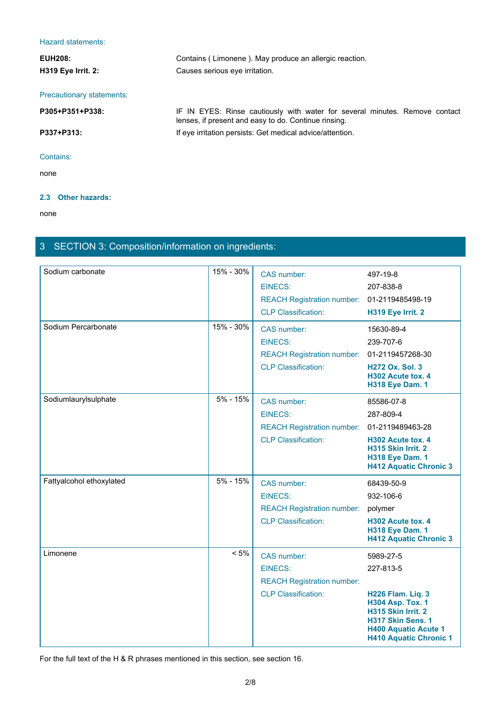# Hazard statements:

| Hazard statements:        |                                                                                                                                     |
|---------------------------|-------------------------------------------------------------------------------------------------------------------------------------|
| <b>EUH208:</b>            | Contains (Limonene). May produce an allergic reaction.                                                                              |
| H319 Eye Irrit. 2:        | Causes serious eye irritation.                                                                                                      |
| Precautionary statements: |                                                                                                                                     |
| P305+P351+P338:           | IF IN EYES: Rinse cautiously with water for several minutes. Remove contact<br>lenses, if present and easy to do. Continue rinsing. |
| P337+P313:                | If eye irritation persists: Get medical advice/attention.                                                                           |
| Contains:                 |                                                                                                                                     |
| none                      |                                                                                                                                     |

### **2.3 Other hazards:**

none and the state of the state of the state of the state of the state of the state of the state of the state of the state of the state of the state of the state of the state of the state of the state of the state of the s

# 3 SECTION 3: Composition/information on ingredients:

| Sodium carbonate         | 15% - 30% | CAS number:                                 | 497-19-8                                                                                                                                                       |
|--------------------------|-----------|---------------------------------------------|----------------------------------------------------------------------------------------------------------------------------------------------------------------|
|                          |           | <b>EINECS:</b>                              | 207-838-8                                                                                                                                                      |
|                          |           | REACH Registration number: 01-2119485498-19 |                                                                                                                                                                |
|                          |           | <b>CLP Classification:</b>                  | H319 Eye Irrit. 2                                                                                                                                              |
| Sodium Percarbonate      | 15% - 30% | CAS number:                                 | 15630-89-4                                                                                                                                                     |
|                          |           | <b>EINECS:</b>                              | 239-707-6                                                                                                                                                      |
|                          |           | REACH Registration number: 01-2119457268-30 |                                                                                                                                                                |
|                          |           | <b>CLP Classification:</b>                  | <b>H272 Ox. Sol. 3</b><br>H302 Acute tox. 4<br><b>H318 Eye Dam. 1</b>                                                                                          |
| Sodiumlaurylsulphate     | 5% - 15%  | CAS number:                                 | 85586-07-8                                                                                                                                                     |
|                          |           | <b>EINECS:</b>                              | 287-809-4                                                                                                                                                      |
|                          |           | REACH Registration number: 01-2119489463-28 |                                                                                                                                                                |
|                          |           | <b>CLP Classification:</b>                  | H302 Acute tox. 4<br>H315 Skin Irrit. 2<br><b>H318 Eye Dam. 1</b><br><b>H412 Aquatic Chronic 3</b>                                                             |
| Fattyalcohol ethoxylated | 5% - 15%  | CAS number:                                 | 68439-50-9                                                                                                                                                     |
|                          |           | <b>EINECS:</b>                              | 932-106-6                                                                                                                                                      |
|                          |           | <b>REACH Registration number:</b>           | polymer                                                                                                                                                        |
|                          |           | <b>CLP Classification:</b>                  | H302 Acute tox. 4<br><b>H318 Eye Dam. 1</b><br><b>H412 Aquatic Chronic 3</b>                                                                                   |
| Limonene                 | $< 5\%$   | CAS number:                                 | 5989-27-5                                                                                                                                                      |
|                          |           | <b>EINECS:</b>                              | 227-813-5                                                                                                                                                      |
|                          |           | <b>REACH Registration number:</b>           |                                                                                                                                                                |
|                          |           | <b>CLP Classification:</b>                  | <b>H226 Flam. Liq. 3</b><br><b>H304 Asp. Tox. 1</b><br>H315 Skin Irrit. 2<br>H317 Skin Sens. 1<br><b>H400 Aquatic Acute 1</b><br><b>H410 Aquatic Chronic 1</b> |

For the full text of the H & R phrases mentioned in this section, see section 16.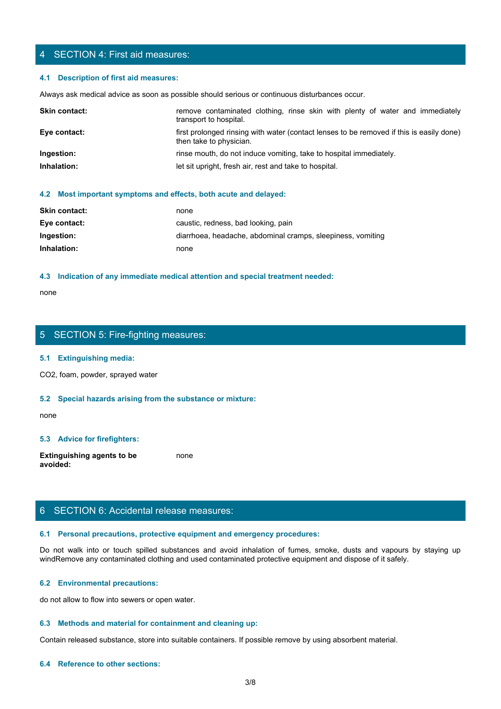# 4 SECTION 4: First aid measures:

### **4.1 Description of first aid measures:**

| 4 SECTION 4: First aid measures:       |                                                                                                                                                                                                           |
|----------------------------------------|-----------------------------------------------------------------------------------------------------------------------------------------------------------------------------------------------------------|
| 4.1 Description of first aid measures: |                                                                                                                                                                                                           |
| Skin contact:                          | Always ask medical advice as soon as possible should serious or continuous disturbances occur.<br>remove contaminated clothing, rinse skin with plenty of water and immediately<br>transport to hospital. |
| Eye contact:                           | first prolonged rinsing with water (contact lenses to be removed if this is easily done)<br>then take to physician.                                                                                       |
| Ingestion:                             | rinse mouth, do not induce vomiting, take to hospital immediately.                                                                                                                                        |

### **4.2 Most important symptoms and effects, both acute and delayed:**

| <b>Skin contact:</b> | none                                                        |
|----------------------|-------------------------------------------------------------|
| Eye contact:         | caustic, redness, bad looking, pain                         |
| Ingestion:           | diarrhoea, headache, abdominal cramps, sleepiness, vomiting |
| Inhalation:          | none                                                        |

#### **4.3 Indication of any immediate medical attention and special treatment needed:**

none and the state of the state of the state of the state of the state of the state of the state of the state of the state of the state of the state of the state of the state of the state of the state of the state of the s

# 5 SECTION 5: Fire-fighting measures:

#### **5.1 Extinguishing media:**

CO2, foam, powder, sprayed water

### **5.2 Special hazards arising from the substance or mixture:**

none and the state of the state of the state of the state of the state of the state of the state of the state of the state of the state of the state of the state of the state of the state of the state of the state of the s

### **5.3 Advice for firefighters:**

**Extinguishing agents to be avoided:** none and the state of the state of the state of the state of the state of the state of the state of the state of the state of the state of the state of the state of the state of the state of the state of the state of the s

# 6 SECTION 6: Accidental release measures:

### **6.1 Personal precautions, protective equipment and emergency procedures:**

none<br>
S. SECTION 5: Fire-fighting measures:<br>
S. S. Special hazards arising from the substance or mixture:<br>
H. S. Special hazards arising from the substance or mixture:<br>
and avoid in the fumes, spilled substances and avoid windRemove any contaminated clothing and used contaminated protective equipment and dispose of it safely.

### **6.2 Environmental precautions:**

do not allow to flow into sewers or open water.

#### **6.3 Methods and material for containment and cleaning up:**

Contain released substance, store into suitable containers. If possible remove by using absorbent material.

#### **6.4 Reference to other sections:**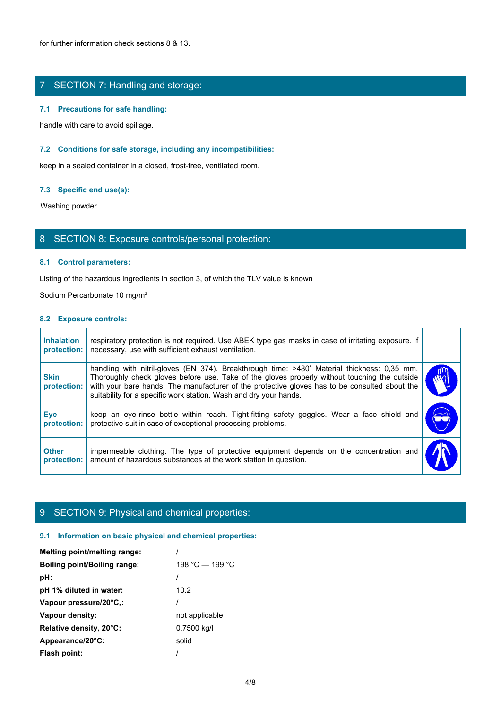# 7 SECTION 7: Handling and storage:

### **7.1 Precautions for safe handling:**

### **7.2 Conditions for safe storage, including any incompatibilities:**

### **7.3 Specific end use(s):**

# 8 SECTION 8: Exposure controls/personal protection:

### **8.1 Control parameters:**

### **8.2 Exposure controls:**

|                                  | $\ldots$ recautions for safe narround.                                                                                                                                                                                                                                                                                                                            |            |
|----------------------------------|-------------------------------------------------------------------------------------------------------------------------------------------------------------------------------------------------------------------------------------------------------------------------------------------------------------------------------------------------------------------|------------|
|                                  | handle with care to avoid spillage.                                                                                                                                                                                                                                                                                                                               |            |
|                                  | 7.2 Conditions for safe storage, including any incompatibilities:                                                                                                                                                                                                                                                                                                 |            |
|                                  | keep in a sealed container in a closed, frost-free, ventilated room.                                                                                                                                                                                                                                                                                              |            |
| 7.3 Specific end use(s):         |                                                                                                                                                                                                                                                                                                                                                                   |            |
| Washing powder                   |                                                                                                                                                                                                                                                                                                                                                                   |            |
|                                  | 8 SECTION 8: Exposure controls/personal protection:                                                                                                                                                                                                                                                                                                               |            |
|                                  | 8.1 Control parameters:                                                                                                                                                                                                                                                                                                                                           |            |
|                                  | Listing of the hazardous ingredients in section 3, of which the TLV value is known                                                                                                                                                                                                                                                                                |            |
|                                  | Sodium Percarbonate 10 mg/m <sup>3</sup>                                                                                                                                                                                                                                                                                                                          |            |
| 8.2 Exposure controls:           |                                                                                                                                                                                                                                                                                                                                                                   |            |
| <b>Inhalation</b><br>protection: | respiratory protection is not required. Use ABEK type gas masks in case of irritating exposure. If<br>necessary, use with sufficient exhaust ventilation.                                                                                                                                                                                                         |            |
| <b>Skin</b><br>protection:       | handling with nitril-gloves (EN 374). Breakthrough time: >480' Material thickness: 0,35 mm.<br>Thoroughly check gloves before use. Take of the gloves properly without touching the outside<br>with your bare hands. The manufacturer of the protective gloves has to be consulted about the<br>suitability for a specific work station. Wash and dry your hands. |            |
| Eye<br>protection:               | keep an eye-rinse bottle within reach. Tight-fitting safety goggles. Wear a face shield and<br>protective suit in case of exceptional processing problems.                                                                                                                                                                                                        | $\bigodot$ |
| <b>Other</b>                     | impermeable clothing. The type of protective equipment depends on the concentration and<br>amount of hazardous substances at the work station in question.                                                                                                                                                                                                        |            |

# 9 SECTION 9: Physical and chemical properties:

### **9.1 Information on basic physical and chemical properties:**

| Melting point/melting range:        |                 |
|-------------------------------------|-----------------|
| <b>Boiling point/Boiling range:</b> | 198 °C — 199 °C |
| pH:                                 |                 |
| pH 1% diluted in water:             | 10.2            |
| Vapour pressure/20°C,:              |                 |
| Vapour density:                     | not applicable  |
| Relative density, 20°C:             | 0.7500 kg/l     |
| Appearance/20°C:                    | solid           |
| Flash point:                        |                 |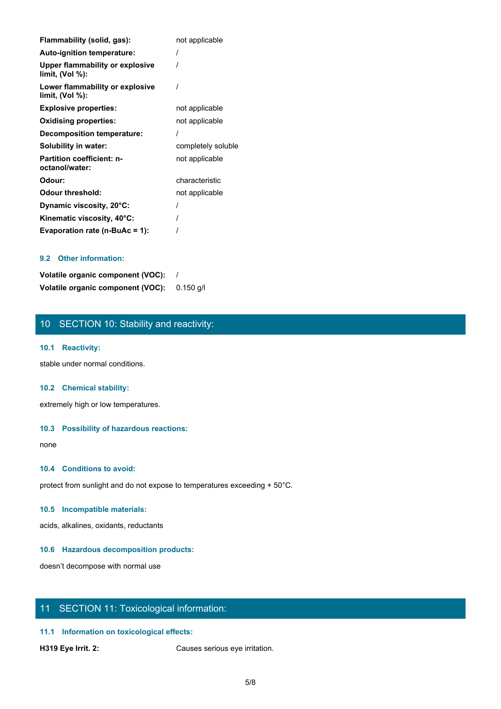| Flammability (solid, gas):                         | not applicable     |
|----------------------------------------------------|--------------------|
| Auto-ignition temperature:                         |                    |
| Upper flammability or explosive<br>limit, (Vol %): |                    |
| Lower flammability or explosive<br>limit, (Vol %): |                    |
| <b>Explosive properties:</b>                       | not applicable     |
| <b>Oxidising properties:</b>                       | not applicable     |
| Decomposition temperature:                         |                    |
| Solubility in water:                               | completely soluble |
| <b>Partition coefficient: n-</b><br>octanol/water: | not applicable     |
| Odour:                                             | characteristic     |
| <b>Odour threshold:</b>                            | not applicable     |
| Dynamic viscosity, 20°C:                           |                    |
| Kinematic viscosity, 40°C:                         |                    |
| Evaporation rate (n-BuAc = 1):                     |                    |

### **9.2 Other information:**

**Volatile organic component (VOC):** / **Volatile organic component (VOC):** 0.150 g/l

# 10 SECTION 10: Stability and reactivity:

### **10.1 Reactivity:**

stable under normal conditions.

### **10.2 Chemical stability:**

extremely high or low temperatures.

### **10.3 Possibility of hazardous reactions:**

none and the state of the state of the state of the state of the state of the state of the state of the state of the state of the state of the state of the state of the state of the state of the state of the state of the s

### **10.4 Conditions to avoid:**

protect from sunlight and do not expose to temperatures exceeding + 50°C.

### **10.5 Incompatible materials:**

acids, alkalines, oxidants, reductants

### **10.6 Hazardous decomposition products:**

doesn't decompose with normal use

# 11 SECTION 11: Toxicological information:

### **11.1 Information on toxicological effects:**

**H319 Eye Irrit. 2:** Causes serious eye irritation.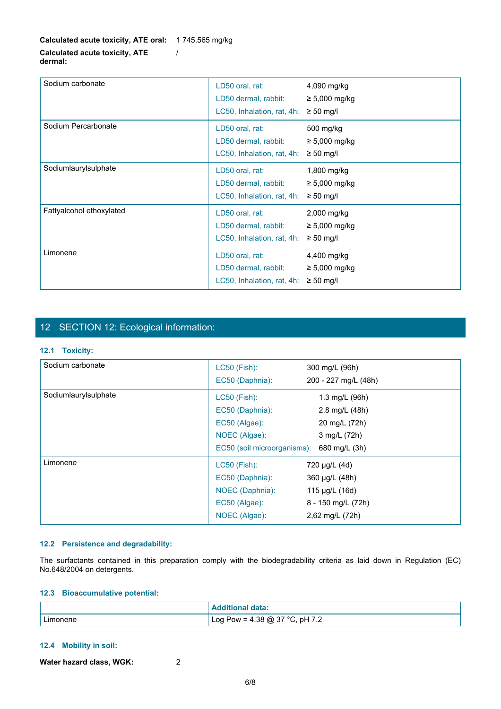| Sodium carbonate         | LD50 oral, rat:<br>LD50 dermal, rabbit:<br>LC50, Inhalation, rat, 4h: | 4,090 mg/kg<br>$\geq 5,000$ mg/kg<br>$\geq 50$ mg/l |
|--------------------------|-----------------------------------------------------------------------|-----------------------------------------------------|
| Sodium Percarbonate      | LD50 oral, rat:<br>LD50 dermal, rabbit:<br>LC50, Inhalation, rat, 4h: | 500 mg/kg<br>$\geq 5,000$ mg/kg<br>$\geq 50$ mg/l   |
| Sodiumlaurylsulphate     | LD50 oral, rat:<br>LD50 dermal, rabbit:<br>LC50, Inhalation, rat, 4h: | 1,800 mg/kg<br>$\geq 5,000$ mg/kg<br>$\geq 50$ mg/l |
| Fattyalcohol ethoxylated | LD50 oral, rat:<br>LD50 dermal, rabbit:<br>LC50, Inhalation, rat, 4h: | 2,000 mg/kg<br>$\geq 5,000$ mg/kg<br>$\geq 50$ mg/l |
| Limonene                 | LD50 oral, rat:<br>LD50 dermal, rabbit:<br>LC50, Inhalation, rat, 4h: | 4,400 mg/kg<br>$\geq 5,000$ mg/kg<br>$\geq 50$ mg/l |

# 12 SECTION 12: Ecological information:

### **12.1 Toxicity:**

| Sodium carbonate     | <b>LC50 (Fish):</b>         | 300 mg/L (96h)       |  |
|----------------------|-----------------------------|----------------------|--|
|                      | EC50 (Daphnia):             | 200 - 227 mg/L (48h) |  |
| Sodiumlaurylsulphate | <b>LC50 (Fish):</b>         | 1.3 mg/L (96h)       |  |
|                      | EC50 (Daphnia):             | 2.8 mg/L (48h)       |  |
|                      | EC50 (Algae):               | 20 mg/L (72h)        |  |
|                      | NOEC (Algae):               | 3 mg/L (72h)         |  |
|                      | EC50 (soil microorganisms): | 680 mg/L (3h)        |  |
| Limonene             | LC50 (Fish):                | 720 µg/L (4d)        |  |
|                      | EC50 (Daphnia):             | 360 µg/L (48h)       |  |
|                      | NOEC (Daphnia):             | 115 µg/L (16d)       |  |
|                      | EC50 (Algae):               | 8 - 150 mg/L (72h)   |  |
|                      | NOEC (Algae):               | 2,62 mg/L (72h)      |  |

### **12.2 Persistence and degradability:**

### **12.3 Bioaccumulative potential:**

|          | data:                               |
|----------|-------------------------------------|
| Limonene | ) Pow = 4.38 @ 37 °C, pH 7.2<br>Log |

### **12.4 Mobility in soil:**

**Water hazard class, WGK:** 2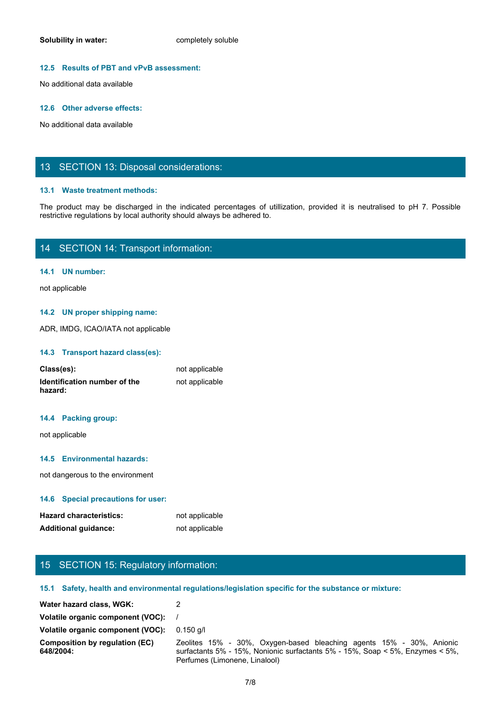### **12.5 Results of PBT and vPvB assessment:**

No additional data available

#### **12.6 Other adverse effects:**

No additional data available

### 13 SECTION 13: Disposal considerations:

### **13.1 Waste treatment methods:**

Solubility in water:<br>
No additional data available<br>
No additional data available<br>
The product may be discharged in the indicated percentages of utilization, provided it is neutralised to pH 7. Possible<br>
The product may be restrictive regulations by local authority should always be adhered to.

# 14 SECTION 14: Transport information:

### **14.1 UN number:**

not applicable

### **14.2 UN proper shipping name:**

ADR, IMDG, ICAO/IATA not applicable

### **14.3 Transport hazard class(es):**

| Class(es):                              | not applicable |
|-----------------------------------------|----------------|
| Identification number of the<br>hazard: | not applicable |

### **14.4 Packing group:**

### **14.5 Environmental hazards:**

### **14.6 Special precautions for user:**

| <b>Hazard characteristics:</b> | not applicable |
|--------------------------------|----------------|
| <b>Additional guidance:</b>    | not applicable |

# 15 SECTION 15: Regulatory information:

### **15.1 Safety, health and environmental regulations/legislation specific for the substance or mixture:**

| 14.4 Packing group:                                |                                                                                                                                                                                        |
|----------------------------------------------------|----------------------------------------------------------------------------------------------------------------------------------------------------------------------------------------|
| not applicable                                     |                                                                                                                                                                                        |
| 14.5 Environmental hazards:                        |                                                                                                                                                                                        |
| not dangerous to the environment                   |                                                                                                                                                                                        |
| 14.6 Special precautions for user:                 |                                                                                                                                                                                        |
| <b>Hazard characteristics:</b>                     | not applicable                                                                                                                                                                         |
| <b>Additional guidance:</b>                        | not applicable                                                                                                                                                                         |
|                                                    |                                                                                                                                                                                        |
|                                                    |                                                                                                                                                                                        |
| 15 SECTION 15: Regulatory information:             |                                                                                                                                                                                        |
|                                                    | 15.1 Safety, health and environmental regulations/legislation specific for the substance or mixture:                                                                                   |
| Water hazard class, WGK:                           | $\overline{2}$                                                                                                                                                                         |
| Volatile organic component (VOC):                  |                                                                                                                                                                                        |
| Volatile organic component (VOC):                  | 0.150 g/l                                                                                                                                                                              |
| <b>Composition by regulation (EC)</b><br>648/2004: | Zeolites 15% - 30%, Oxygen-based bleaching agents 15% - 30%, Anionic<br>surfactants 5% - 15%, Nonionic surfactants 5% - 15%, Soap < 5%, Enzymes < 5%,<br>Perfumes (Limonene, Linalool) |
|                                                    | 7/8                                                                                                                                                                                    |